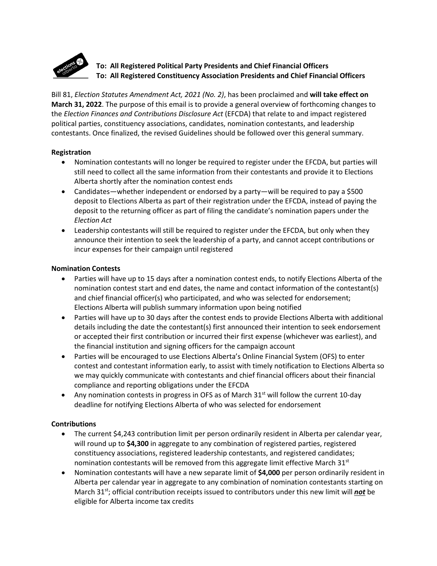

# **To: All Registered Political Party Presidents and Chief Financial Officers To: All Registered Constituency Association Presidents and Chief Financial Officers**

Bill 81, *Election Statutes Amendment Act, 2021 (No. 2)*, has been proclaimed and **will take effect on March 31, 2022**. The purpose of this email is to provide a general overview of forthcoming changes to the *Election Finances and Contributions Disclosure Act* (EFCDA) that relate to and impact registered political parties, constituency associations, candidates, nomination contestants, and leadership contestants. Once finalized, the revised Guidelines should be followed over this general summary.

#### **Registration**

- Nomination contestants will no longer be required to register under the EFCDA, but parties will still need to collect all the same information from their contestants and provide it to Elections Alberta shortly after the nomination contest ends
- Candidates—whether independent or endorsed by a party—will be required to pay a \$500 deposit to Elections Alberta as part of their registration under the EFCDA, instead of paying the deposit to the returning officer as part of filing the candidate's nomination papers under the *Election Act*
- Leadership contestants will still be required to register under the EFCDA, but only when they announce their intention to seek the leadership of a party, and cannot accept contributions or incur expenses for their campaign until registered

### **Nomination Contests**

- Parties will have up to 15 days after a nomination contest ends, to notify Elections Alberta of the nomination contest start and end dates, the name and contact information of the contestant(s) and chief financial officer(s) who participated, and who was selected for endorsement; Elections Alberta will publish summary information upon being notified
- Parties will have up to 30 days after the contest ends to provide Elections Alberta with additional details including the date the contestant(s) first announced their intention to seek endorsement or accepted their first contribution or incurred their first expense (whichever was earliest), and the financial institution and signing officers for the campaign account
- Parties will be encouraged to use Elections Alberta's Online Financial System (OFS) to enter contest and contestant information early, to assist with timely notification to Elections Alberta so we may quickly communicate with contestants and chief financial officers about their financial compliance and reporting obligations under the EFCDA
- Any nomination contests in progress in OFS as of March  $31<sup>st</sup>$  will follow the current 10-day deadline for notifying Elections Alberta of who was selected for endorsement

## **Contributions**

- The current \$4,243 contribution limit per person ordinarily resident in Alberta per calendar year, will round up to **\$4,300** in aggregate to any combination of registered parties, registered constituency associations, registered leadership contestants, and registered candidates; nomination contestants will be removed from this aggregate limit effective March  $31<sup>st</sup>$
- Nomination contestants will have a new separate limit of **\$4,000** per person ordinarily resident in Alberta per calendar year in aggregate to any combination of nomination contestants starting on March 31st; official contribution receipts issued to contributors under this new limit will *not* be eligible for Alberta income tax credits